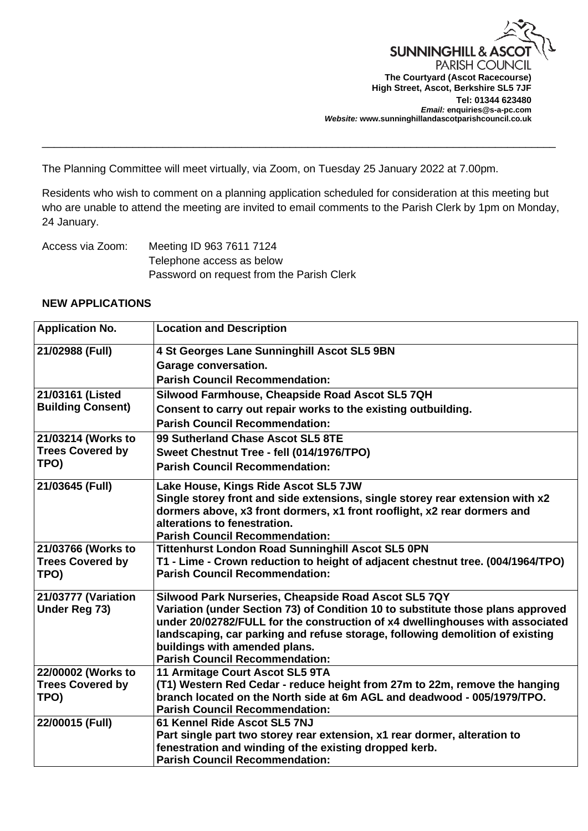

The Planning Committee will meet virtually, via Zoom, on Tuesday 25 January 2022 at 7.00pm.

Residents who wish to comment on a planning application scheduled for consideration at this meeting but who are unable to attend the meeting are invited to email comments to the Parish Clerk by 1pm on Monday, 24 January.

\_\_\_\_\_\_\_\_\_\_\_\_\_\_\_\_\_\_\_\_\_\_\_\_\_\_\_\_\_\_\_\_\_\_\_\_\_\_\_\_\_\_\_\_\_\_\_\_\_\_\_\_\_\_\_\_\_\_\_\_\_\_\_\_\_\_\_\_\_\_\_\_\_\_\_\_\_\_\_\_\_\_\_\_\_

Access via Zoom: Meeting ID 963 7611 7124 Telephone access as below Password on request from the Parish Clerk

## **NEW APPLICATIONS**

| <b>Application No.</b>          | <b>Location and Description</b>                                                                          |
|---------------------------------|----------------------------------------------------------------------------------------------------------|
| 21/02988 (Full)                 | 4 St Georges Lane Sunninghill Ascot SL5 9BN                                                              |
|                                 | <b>Garage conversation.</b>                                                                              |
|                                 | <b>Parish Council Recommendation:</b>                                                                    |
| 21/03161 (Listed                | Silwood Farmhouse, Cheapside Road Ascot SL5 7QH                                                          |
| <b>Building Consent)</b>        | Consent to carry out repair works to the existing outbuilding.                                           |
|                                 | <b>Parish Council Recommendation:</b>                                                                    |
| 21/03214 (Works to              | 99 Sutherland Chase Ascot SL5 8TE                                                                        |
| <b>Trees Covered by</b><br>TPO) | Sweet Chestnut Tree - fell (014/1976/TPO)                                                                |
|                                 | <b>Parish Council Recommendation:</b>                                                                    |
| 21/03645 (Full)                 | Lake House, Kings Ride Ascot SL5 7JW                                                                     |
|                                 | Single storey front and side extensions, single storey rear extension with x2                            |
|                                 | dormers above, x3 front dormers, x1 front rooflight, x2 rear dormers and<br>alterations to fenestration. |
|                                 | <b>Parish Council Recommendation:</b>                                                                    |
| 21/03766 (Works to              | <b>Tittenhurst London Road Sunninghill Ascot SL5 0PN</b>                                                 |
| <b>Trees Covered by</b>         | T1 - Lime - Crown reduction to height of adjacent chestnut tree. (004/1964/TPO)                          |
| TPO)                            | <b>Parish Council Recommendation:</b>                                                                    |
| 21/03777 (Variation             | Silwood Park Nurseries, Cheapside Road Ascot SL5 7QY                                                     |
| <b>Under Reg 73)</b>            | Variation (under Section 73) of Condition 10 to substitute those plans approved                          |
|                                 | under 20/02782/FULL for the construction of x4 dwellinghouses with associated                            |
|                                 | landscaping, car parking and refuse storage, following demolition of existing                            |
|                                 | buildings with amended plans.<br><b>Parish Council Recommendation:</b>                                   |
| 22/00002 (Works to              | 11 Armitage Court Ascot SL5 9TA                                                                          |
| <b>Trees Covered by</b>         | (T1) Western Red Cedar - reduce height from 27m to 22m, remove the hanging                               |
| TPO)                            | branch located on the North side at 6m AGL and deadwood - 005/1979/TPO.                                  |
|                                 | <b>Parish Council Recommendation:</b>                                                                    |
| 22/00015 (Full)                 | 61 Kennel Ride Ascot SL5 7NJ                                                                             |
|                                 | Part single part two storey rear extension, x1 rear dormer, alteration to                                |
|                                 | fenestration and winding of the existing dropped kerb.                                                   |
|                                 | <b>Parish Council Recommendation:</b>                                                                    |